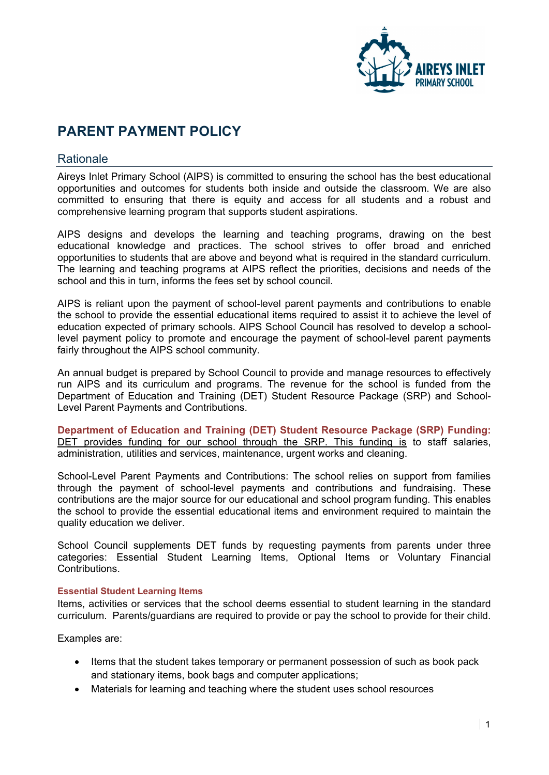

# **PARENT PAYMENT POLICY**

# **Rationale**

Aireys Inlet Primary School (AIPS) is committed to ensuring the school has the best educational opportunities and outcomes for students both inside and outside the classroom. We are also committed to ensuring that there is equity and access for all students and a robust and comprehensive learning program that supports student aspirations.

AIPS designs and develops the learning and teaching programs, drawing on the best educational knowledge and practices. The school strives to offer broad and enriched opportunities to students that are above and beyond what is required in the standard curriculum. The learning and teaching programs at AIPS reflect the priorities, decisions and needs of the school and this in turn, informs the fees set by school council.

AIPS is reliant upon the payment of school-level parent payments and contributions to enable the school to provide the essential educational items required to assist it to achieve the level of education expected of primary schools. AIPS School Council has resolved to develop a schoollevel payment policy to promote and encourage the payment of school-level parent payments fairly throughout the AIPS school community.

An annual budget is prepared by School Council to provide and manage resources to effectively run AIPS and its curriculum and programs. The revenue for the school is funded from the Department of Education and Training (DET) Student Resource Package (SRP) and School-Level Parent Payments and Contributions.

**Department of Education and Training (DET) Student Resource Package (SRP) Funding:**  DET provides funding for our school through the SRP. This funding is to staff salaries, administration, utilities and services, maintenance, urgent works and cleaning.

School-Level Parent Payments and Contributions: The school relies on support from families through the payment of school-level payments and contributions and fundraising. These contributions are the major source for our educational and school program funding. This enables the school to provide the essential educational items and environment required to maintain the quality education we deliver.

School Council supplements DET funds by requesting payments from parents under three categories: Essential Student Learning Items, Optional Items or Voluntary Financial Contributions.

#### **Essential Student Learning Items**

Items, activities or services that the school deems essential to student learning in the standard curriculum. Parents/guardians are required to provide or pay the school to provide for their child.

Examples are:

- Items that the student takes temporary or permanent possession of such as book pack and stationary items, book bags and computer applications;
- Materials for learning and teaching where the student uses school resources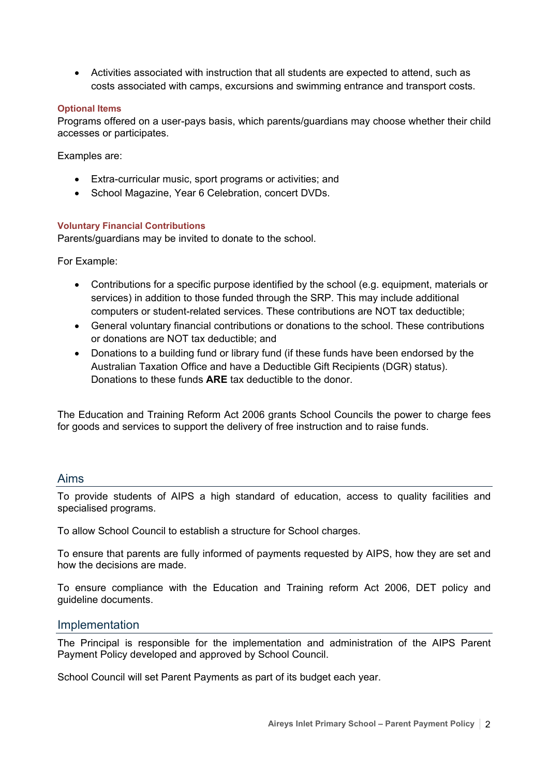• Activities associated with instruction that all students are expected to attend, such as costs associated with camps, excursions and swimming entrance and transport costs.

# **Optional Items**

Programs offered on a user-pays basis, which parents/guardians may choose whether their child accesses or participates.

Examples are:

- Extra-curricular music, sport programs or activities; and
- School Magazine, Year 6 Celebration, concert DVDs.

### **Voluntary Financial Contributions**

Parents/guardians may be invited to donate to the school.

For Example:

- Contributions for a specific purpose identified by the school (e.g. equipment, materials or services) in addition to those funded through the SRP. This may include additional computers or student-related services. These contributions are NOT tax deductible;
- General voluntary financial contributions or donations to the school. These contributions or donations are NOT tax deductible; and
- Donations to a building fund or library fund (if these funds have been endorsed by the Australian Taxation Office and have a Deductible Gift Recipients (DGR) status). Donations to these funds **ARE** tax deductible to the donor.

The Education and Training Reform Act 2006 grants School Councils the power to charge fees for goods and services to support the delivery of free instruction and to raise funds.

# Aims

To provide students of AIPS a high standard of education, access to quality facilities and specialised programs.

To allow School Council to establish a structure for School charges.

To ensure that parents are fully informed of payments requested by AIPS, how they are set and how the decisions are made.

To ensure compliance with the Education and Training reform Act 2006, DET policy and guideline documents.

# Implementation

The Principal is responsible for the implementation and administration of the AIPS Parent Payment Policy developed and approved by School Council.

School Council will set Parent Payments as part of its budget each year.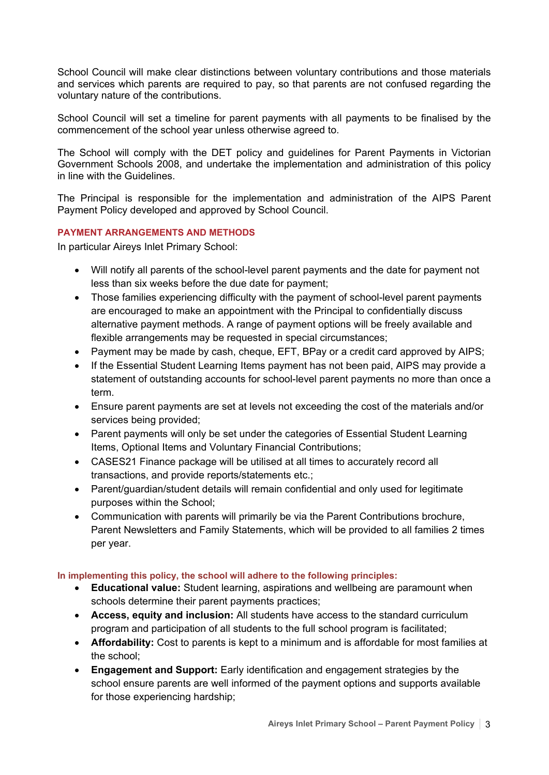School Council will make clear distinctions between voluntary contributions and those materials and services which parents are required to pay, so that parents are not confused regarding the voluntary nature of the contributions.

School Council will set a timeline for parent payments with all payments to be finalised by the commencement of the school year unless otherwise agreed to.

The School will comply with the DET policy and guidelines for Parent Payments in Victorian Government Schools 2008, and undertake the implementation and administration of this policy in line with the Guidelines.

The Principal is responsible for the implementation and administration of the AIPS Parent Payment Policy developed and approved by School Council.

# **PAYMENT ARRANGEMENTS AND METHODS**

In particular Aireys Inlet Primary School:

- Will notify all parents of the school-level parent payments and the date for payment not less than six weeks before the due date for payment;
- Those families experiencing difficulty with the payment of school-level parent payments are encouraged to make an appointment with the Principal to confidentially discuss alternative payment methods. A range of payment options will be freely available and flexible arrangements may be requested in special circumstances;
- Payment may be made by cash, cheque, EFT, BPay or a credit card approved by AIPS;
- If the Essential Student Learning Items payment has not been paid, AIPS may provide a statement of outstanding accounts for school-level parent payments no more than once a term.
- Ensure parent payments are set at levels not exceeding the cost of the materials and/or services being provided;
- Parent payments will only be set under the categories of Essential Student Learning Items, Optional Items and Voluntary Financial Contributions;
- CASES21 Finance package will be utilised at all times to accurately record all transactions, and provide reports/statements etc.;
- Parent/guardian/student details will remain confidential and only used for legitimate purposes within the School;
- Communication with parents will primarily be via the Parent Contributions brochure, Parent Newsletters and Family Statements, which will be provided to all families 2 times per year.

# **In implementing this policy, the school will adhere to the following principles:**

- **Educational value:** Student learning, aspirations and wellbeing are paramount when schools determine their parent payments practices;
- **Access, equity and inclusion:** All students have access to the standard curriculum program and participation of all students to the full school program is facilitated;
- **Affordability:** Cost to parents is kept to a minimum and is affordable for most families at the school;
- **Engagement and Support:** Early identification and engagement strategies by the school ensure parents are well informed of the payment options and supports available for those experiencing hardship;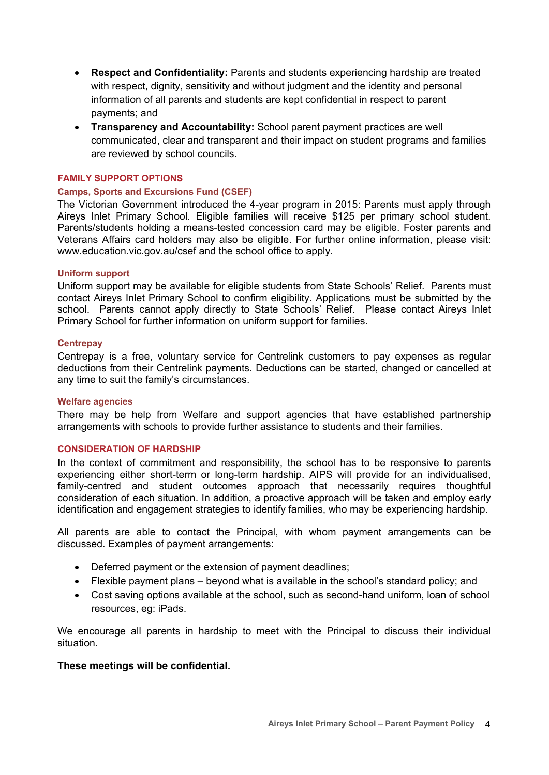- **Respect and Confidentiality:** Parents and students experiencing hardship are treated with respect, dignity, sensitivity and without judgment and the identity and personal information of all parents and students are kept confidential in respect to parent payments; and
- **Transparency and Accountability:** School parent payment practices are well communicated, clear and transparent and their impact on student programs and families are reviewed by school councils.

#### **FAMILY SUPPORT OPTIONS**

#### **Camps, Sports and Excursions Fund (CSEF)**

The Victorian Government introduced the 4-year program in 2015: Parents must apply through Aireys Inlet Primary School. Eligible families will receive \$125 per primary school student. Parents/students holding a means-tested concession card may be eligible. Foster parents and Veterans Affairs card holders may also be eligible. For further online information, please visit: www.education.vic.gov.au/csef and the school office to apply.

#### **Uniform support**

Uniform support may be available for eligible students from State Schools' Relief. Parents must contact Aireys Inlet Primary School to confirm eligibility. Applications must be submitted by the school. Parents cannot apply directly to State Schools' Relief. Please contact Aireys Inlet Primary School for further information on uniform support for families.

#### **Centrepay**

Centrepay is a free, voluntary service for Centrelink customers to pay expenses as regular deductions from their Centrelink payments. Deductions can be started, changed or cancelled at any time to suit the family's circumstances.

#### **Welfare agencies**

There may be help from Welfare and support agencies that have established partnership arrangements with schools to provide further assistance to students and their families.

#### **CONSIDERATION OF HARDSHIP**

In the context of commitment and responsibility, the school has to be responsive to parents experiencing either short-term or long-term hardship. AIPS will provide for an individualised, family-centred and student outcomes approach that necessarily requires thoughtful consideration of each situation. In addition, a proactive approach will be taken and employ early identification and engagement strategies to identify families, who may be experiencing hardship.

All parents are able to contact the Principal, with whom payment arrangements can be discussed. Examples of payment arrangements:

- Deferred payment or the extension of payment deadlines;
- Flexible payment plans beyond what is available in the school's standard policy; and
- Cost saving options available at the school, such as second-hand uniform, loan of school resources, eg: iPads.

We encourage all parents in hardship to meet with the Principal to discuss their individual situation.

#### **These meetings will be confidential.**